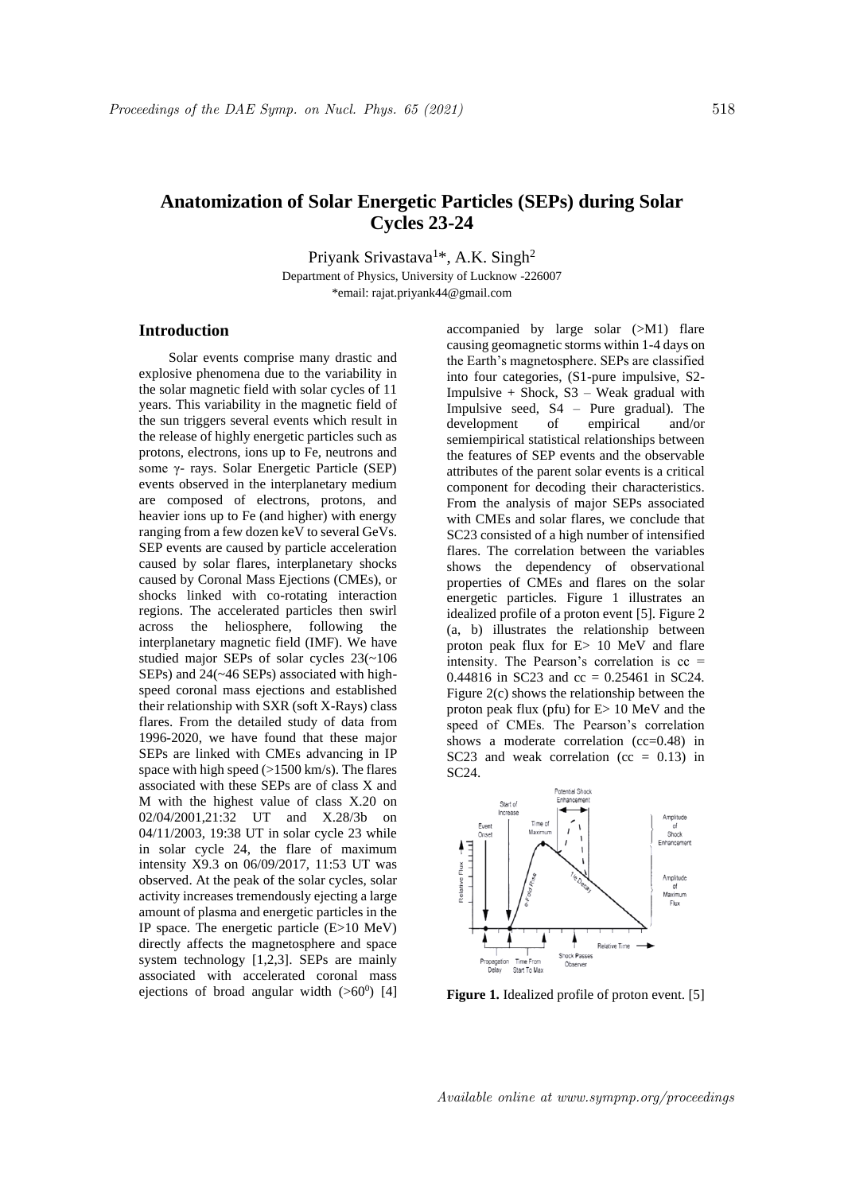## **Anatomization of Solar Energetic Particles (SEPs) during Solar Cycles 23-24**

Priyank Srivastava<sup>1\*</sup>, A.K. Singh<sup>2</sup>

Department of Physics, University of Lucknow -226007 \*email: rajat.priyank44@gmail.com

## **Introduction**

Solar events comprise many drastic and explosive phenomena due to the variability in the solar magnetic field with solar cycles of 11 years. This variability in the magnetic field of the sun triggers several events which result in the release of highly energetic particles such as protons, electrons, ions up to Fe, neutrons and some γ- rays. Solar Energetic Particle (SEP) events observed in the interplanetary medium are composed of electrons, protons, and heavier ions up to Fe (and higher) with energy ranging from a few dozen keV to several GeVs. SEP events are caused by particle acceleration caused by solar flares, interplanetary shocks caused by Coronal Mass Ejections (CMEs), or shocks linked with co-rotating interaction regions. The accelerated particles then swirl across the heliosphere, following the interplanetary magnetic field (IMF). We have studied major SEPs of solar cycles 23(~106 SEPs) and 24(~46 SEPs) associated with highspeed coronal mass ejections and established their relationship with SXR (soft X-Rays) class flares. From the detailed study of data from 1996-2020, we have found that these major SEPs are linked with CMEs advancing in IP space with high speed (>1500 km/s). The flares associated with these SEPs are of class X and M with the highest value of class X.20 on 02/04/2001,21:32 UT and X.28/3b on 04/11/2003, 19:38 UT in solar cycle 23 while in solar cycle 24, the flare of maximum intensity X9.3 on 06/09/2017, 11:53 UT was observed. At the peak of the solar cycles, solar activity increases tremendously ejecting a large amount of plasma and energetic particles in the IP space. The energetic particle (E>10 MeV) directly affects the magnetosphere and space system technology [1,2,3]. SEPs are mainly associated with accelerated coronal mass ejections of broad angular width  $(>60^0)$  [4] accompanied by large solar (>M1) flare causing geomagnetic storms within 1-4 days on the Earth's magnetosphere. SEPs are classified into four categories, (S1-pure impulsive, S2- Impulsive  $+$  Shock, S3 – Weak gradual with Impulsive seed, S4 – Pure gradual). The development of empirical and/or semiempirical statistical relationships between the features of SEP events and the observable attributes of the parent solar events is a critical component for decoding their characteristics. From the analysis of major SEPs associated with CMEs and solar flares, we conclude that SC23 consisted of a high number of intensified flares. The correlation between the variables shows the dependency of observational properties of CMEs and flares on the solar energetic particles. Figure 1 illustrates an idealized profile of a proton event [5]. Figure 2 (a, b) illustrates the relationship between proton peak flux for E> 10 MeV and flare intensity. The Pearson's correlation is  $cc =$ 0.44816 in SC23 and  $cc = 0.25461$  in SC24. Figure 2(c) shows the relationship between the proton peak flux (pfu) for E> 10 MeV and the speed of CMEs. The Pearson's correlation shows a moderate correlation (cc=0.48) in SC23 and weak correlation ( $cc = 0.13$ ) in SC24.



**Figure 1.** Idealized profile of proton event. [5]

Available online at www.sympnp.org/proceedings